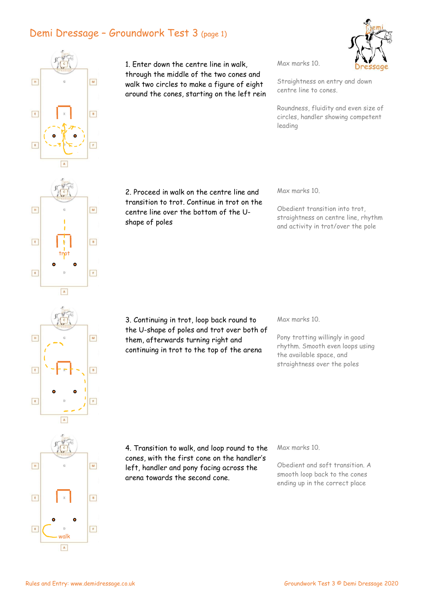## Demi Dressage – Groundwork Test 3 (page 1)



1. Enter down the centre line in walk, through the middle of the two cones and walk two circles to make a figure of eight around the cones, starting on the left rein Max marks 10.



Straightness on entry and down centre line to cones.

Roundness, fluidity and even size of circles, handler showing competent leading

2. Proceed in walk on the centre line and transition to trot. Continue in trot on the centre line over the bottom of the U-

Max marks 10.

Obedient transition into trot, straightness on centre line, rhythm and activity in trot/over the pole

3. Continuing in trot, loop back round to the U-shape of poles and trot over both of them, afterwards turning right and continuing in trot to the top of the arena

Max marks 10.

Pony trotting willingly in good rhythm. Smooth even loops using the available space, and straightness over the poles



 $\boxed{\mathbf{H}}$ 

 $\boxed{\begin{array}{|c|} \hline \textbf{E} \end{array}}$ 

 $\boxed{\kappa}$ 

4. Transition to walk, and loop round to the cones, with the first cone on the handler's left, handler and pony facing across the arena towards the second cone.

Max marks 10.

Obedient and soft transition. A smooth loop back to the cones ending up in the correct place

shape of poles

 $\boxed{\mathsf{M}}$ 

 $\boxed{B}$ 

 $\boxed{\mathsf{F}}$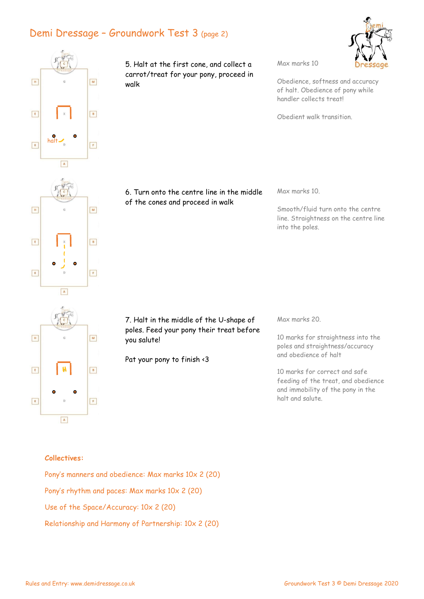## Demi Dressage – Groundwork Test 3 (page 2)



5. Halt at the first cone, and collect a carrot/treat for your pony, proceed in walk

Max marks 10

Obedience, softness and accuracy of halt. Obedience of pony while handler collects treat!

Obedient walk transition.

6. Turn onto the centre line in the middle of the cones and proceed in walk

Max marks 10.

Smooth/fluid turn onto the centre line. Straightness on the centre line into the poles.

Max marks 20.

10 marks for straightness into the poles and straightness/accuracy and obedience of halt

10 marks for correct and safe feeding of the treat, and obedience and immobility of the pony in the halt and salute.

## $\boxed{\mathbf{A}}$

7. Halt in the middle of the U-shape of poles. Feed your pony their treat before you salute!

Pat your pony to finish <3

Collectives:

Pony's manners and obedience: Max marks 10x 2 (20) Pony's rhythm and paces: Max marks 10x 2 (20) Use of the Space/Accuracy: 10x 2 (20) Relationship and Harmony of Partnership: 10x 2 (20)